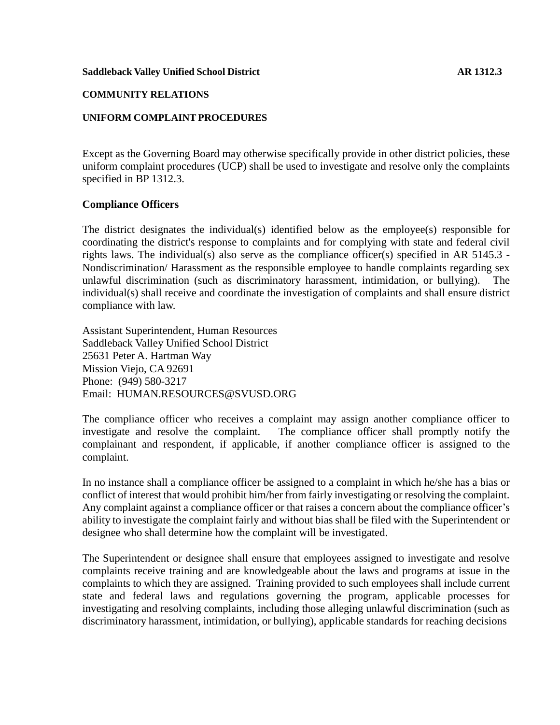### **COMMUNITY RELATIONS**

## **UNIFORM COMPLAINT PROCEDURES**

Except as the Governing Board may otherwise specifically provide in other district policies, these uniform complaint procedures (UCP) shall be used to investigate and resolve only the complaints specified in BP 1312.3.

## **Compliance Officers**

The district designates the individual(s) identified below as the employee(s) responsible for coordinating the district's response to complaints and for complying with state and federal civil rights laws. The individual(s) also serve as the compliance officer(s) specified in AR 5145.3 - Nondiscrimination/ Harassment as the responsible employee to handle complaints regarding sex unlawful discrimination (such as discriminatory harassment, intimidation, or bullying). The individual(s) shall receive and coordinate the investigation of complaints and shall ensure district compliance with law.

Assistant Superintendent, Human Resources Saddleback Valley Unified School District 25631 Peter A. Hartman Way Mission Viejo, CA 92691 Phone: (949) 580-3217 E[mail: HUMAN.RESOURCES@SVUSD.ORG](mailto:HUMAN.RESOURCES@SVUSD.ORG)

The compliance officer who receives a complaint may assign another compliance officer to investigate and resolve the complaint. The compliance officer shall promptly notify the complainant and respondent, if applicable, if another compliance officer is assigned to the complaint.

In no instance shall a compliance officer be assigned to a complaint in which he/she has a bias or conflict of interest that would prohibit him/her from fairly investigating or resolving the complaint. Any complaint against a compliance officer or that raises a concern about the compliance officer's ability to investigate the complaint fairly and without bias shall be filed with the Superintendent or designee who shall determine how the complaint will be investigated.

The Superintendent or designee shall ensure that employees assigned to investigate and resolve complaints receive training and are knowledgeable about the laws and programs at issue in the complaints to which they are assigned. Training provided to such employees shall include current state and federal laws and regulations governing the program, applicable processes for investigating and resolving complaints, including those alleging unlawful discrimination (such as discriminatory harassment, intimidation, or bullying), applicable standards for reaching decisions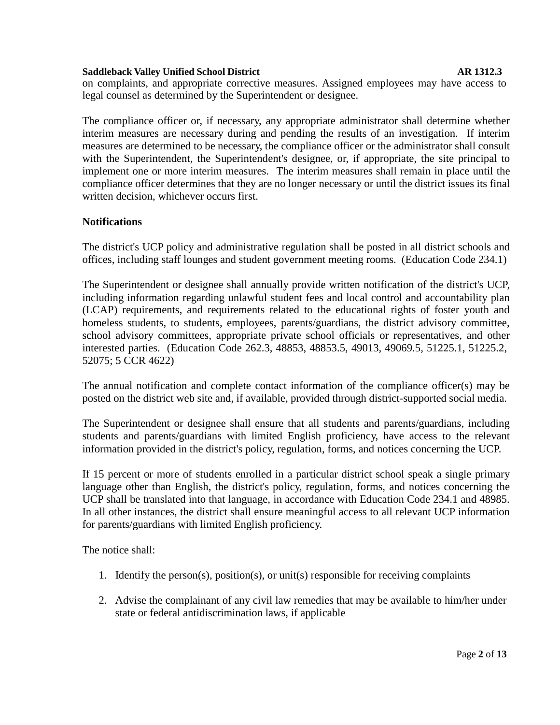on complaints, and appropriate corrective measures. Assigned employees may have access to legal counsel as determined by the Superintendent or designee.

The compliance officer or, if necessary, any appropriate administrator shall determine whether interim measures are necessary during and pending the results of an investigation. If interim measures are determined to be necessary, the compliance officer or the administrator shall consult with the Superintendent, the Superintendent's designee, or, if appropriate, the site principal to implement one or more interim measures. The interim measures shall remain in place until the compliance officer determines that they are no longer necessary or until the district issues its final written decision, whichever occurs first.

## **Notifications**

The district's UCP policy and administrative regulation shall be posted in all district schools and offices, including staff lounges and student government meeting rooms. (Education Code 234.1)

The Superintendent or designee shall annually provide written notification of the district's UCP, including information regarding unlawful student fees and local control and accountability plan (LCAP) requirements, and requirements related to the educational rights of foster youth and homeless students, to students, employees, parents/guardians, the district advisory committee, school advisory committees, appropriate private school officials or representatives, and other interested parties. (Education Code 262.3, 48853, 48853.5, 49013, 49069.5, 51225.1, 51225.2, 52075; 5 CCR 4622)

The annual notification and complete contact information of the compliance officer(s) may be posted on the district web site and, if available, provided through district-supported social media.

The Superintendent or designee shall ensure that all students and parents/guardians, including students and parents/guardians with limited English proficiency, have access to the relevant information provided in the district's policy, regulation, forms, and notices concerning the UCP.

If 15 percent or more of students enrolled in a particular district school speak a single primary language other than English, the district's policy, regulation, forms, and notices concerning the UCP shall be translated into that language, in accordance with Education Code 234.1 and 48985. In all other instances, the district shall ensure meaningful access to all relevant UCP information for parents/guardians with limited English proficiency.

The notice shall:

- 1. Identify the person(s), position(s), or unit(s) responsible for receiving complaints
- 2. Advise the complainant of any civil law remedies that may be available to him/her under state or federal antidiscrimination laws, if applicable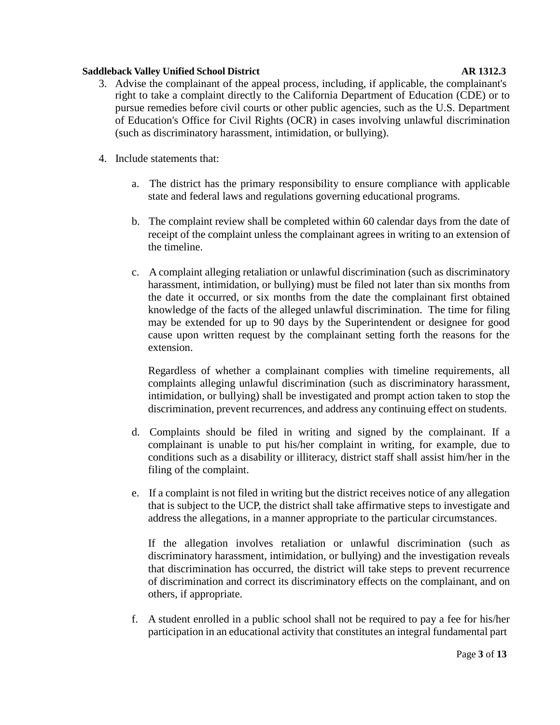- 3. Advise the complainant of the appeal process, including, if applicable, the complainant's right to take a complaint directly to the California Department of Education (CDE) or to pursue remedies before civil courts or other public agencies, such as the U.S. Department of Education's Office for Civil Rights (OCR) in cases involving unlawful discrimination (such as discriminatory harassment, intimidation, or bullying).
- 4. Include statements that:
	- a. The district has the primary responsibility to ensure compliance with applicable state and federal laws and regulations governing educational programs.
	- b. The complaint review shall be completed within 60 calendar days from the date of receipt of the complaint unless the complainant agrees in writing to an extension of the timeline.
	- c. A complaint alleging retaliation or unlawful discrimination (such as discriminatory harassment, intimidation, or bullying) must be filed not later than six months from the date it occurred, or six months from the date the complainant first obtained knowledge of the facts of the alleged unlawful discrimination. The time for filing may be extended for up to 90 days by the Superintendent or designee for good cause upon written request by the complainant setting forth the reasons for the extension.

Regardless of whether a complainant complies with timeline requirements, all complaints alleging unlawful discrimination (such as discriminatory harassment, intimidation, or bullying) shall be investigated and prompt action taken to stop the discrimination, prevent recurrences, and address any continuing effect on students.

- d. Complaints should be filed in writing and signed by the complainant. If a complainant is unable to put his/her complaint in writing, for example, due to conditions such as a disability or illiteracy, district staff shall assist him/her in the filing of the complaint.
- e. If a complaint is not filed in writing but the district receives notice of any allegation that is subject to the UCP, the district shall take affirmative steps to investigate and address the allegations, in a manner appropriate to the particular circumstances.

If the allegation involves retaliation or unlawful discrimination (such as discriminatory harassment, intimidation, or bullying) and the investigation reveals that discrimination has occurred, the district will take steps to prevent recurrence of discrimination and correct its discriminatory effects on the complainant, and on others, if appropriate.

f. A student enrolled in a public school shall not be required to pay a fee for his/her participation in an educational activity that constitutes an integral fundamental part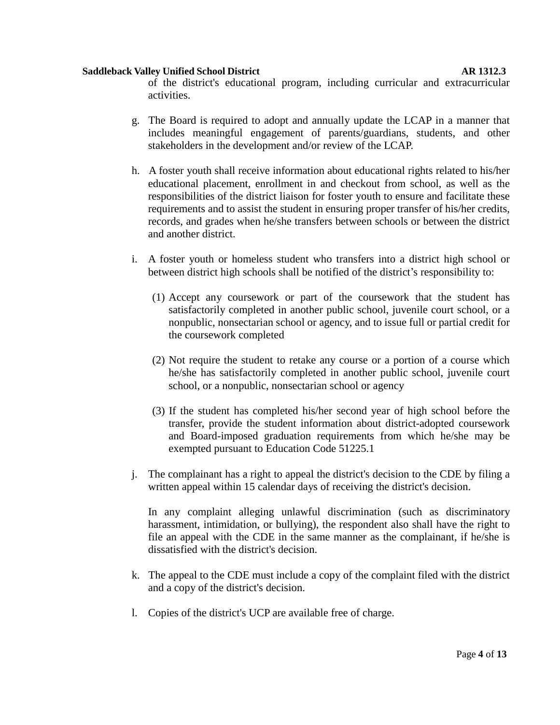of the district's educational program, including curricular and extracurricular activities.

- g. The Board is required to adopt and annually update the LCAP in a manner that includes meaningful engagement of parents/guardians, students, and other stakeholders in the development and/or review of the LCAP.
- h. A foster youth shall receive information about educational rights related to his/her educational placement, enrollment in and checkout from school, as well as the responsibilities of the district liaison for foster youth to ensure and facilitate these requirements and to assist the student in ensuring proper transfer of his/her credits, records, and grades when he/she transfers between schools or between the district and another district.
- i. A foster youth or homeless student who transfers into a district high school or between district high schools shall be notified of the district's responsibility to:
	- (1) Accept any coursework or part of the coursework that the student has satisfactorily completed in another public school, juvenile court school, or a nonpublic, nonsectarian school or agency, and to issue full or partial credit for the coursework completed
	- (2) Not require the student to retake any course or a portion of a course which he/she has satisfactorily completed in another public school, juvenile court school, or a nonpublic, nonsectarian school or agency
	- (3) If the student has completed his/her second year of high school before the transfer, provide the student information about district-adopted coursework and Board-imposed graduation requirements from which he/she may be exempted pursuant to Education Code 51225.1
- j. The complainant has a right to appeal the district's decision to the CDE by filing a written appeal within 15 calendar days of receiving the district's decision.

In any complaint alleging unlawful discrimination (such as discriminatory harassment, intimidation, or bullying), the respondent also shall have the right to file an appeal with the CDE in the same manner as the complainant, if he/she is dissatisfied with the district's decision.

- k. The appeal to the CDE must include a copy of the complaint filed with the district and a copy of the district's decision.
- l. Copies of the district's UCP are available free of charge.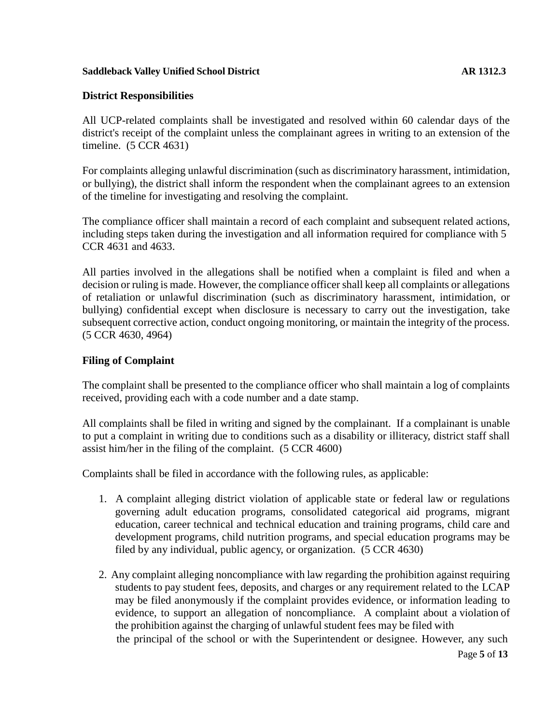## **District Responsibilities**

All UCP-related complaints shall be investigated and resolved within 60 calendar days of the district's receipt of the complaint unless the complainant agrees in writing to an extension of the timeline. (5 CCR 4631)

For complaints alleging unlawful discrimination (such as discriminatory harassment, intimidation, or bullying), the district shall inform the respondent when the complainant agrees to an extension of the timeline for investigating and resolving the complaint.

The compliance officer shall maintain a record of each complaint and subsequent related actions, including steps taken during the investigation and all information required for compliance with 5 CCR 4631 and 4633.

All parties involved in the allegations shall be notified when a complaint is filed and when a decision or ruling is made. However, the compliance officer shall keep all complaints or allegations of retaliation or unlawful discrimination (such as discriminatory harassment, intimidation, or bullying) confidential except when disclosure is necessary to carry out the investigation, take subsequent corrective action, conduct ongoing monitoring, or maintain the integrity of the process. (5 CCR 4630, 4964)

## **Filing of Complaint**

The complaint shall be presented to the compliance officer who shall maintain a log of complaints received, providing each with a code number and a date stamp.

All complaints shall be filed in writing and signed by the complainant. If a complainant is unable to put a complaint in writing due to conditions such as a disability or illiteracy, district staff shall assist him/her in the filing of the complaint. (5 CCR 4600)

Complaints shall be filed in accordance with the following rules, as applicable:

- 1. A complaint alleging district violation of applicable state or federal law or regulations governing adult education programs, consolidated categorical aid programs, migrant education, career technical and technical education and training programs, child care and development programs, child nutrition programs, and special education programs may be filed by any individual, public agency, or organization. (5 CCR 4630)
- the principal of the school or with the Superintendent or designee. However, any such 2. Any complaint alleging noncompliance with law regarding the prohibition against requiring students to pay student fees, deposits, and charges or any requirement related to the LCAP may be filed anonymously if the complaint provides evidence, or information leading to evidence, to support an allegation of noncompliance. A complaint about a violation of the prohibition against the charging of unlawful student fees may be filed with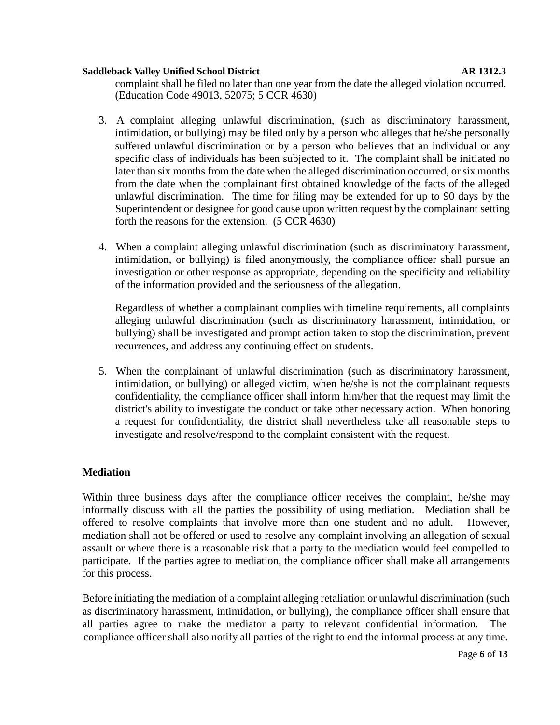complaint shall be filed no later than one year from the date the alleged violation occurred. (Education Code 49013, 52075; 5 CCR 4630)

- 3. A complaint alleging unlawful discrimination, (such as discriminatory harassment, intimidation, or bullying) may be filed only by a person who alleges that he/she personally suffered unlawful discrimination or by a person who believes that an individual or any specific class of individuals has been subjected to it. The complaint shall be initiated no later than six months from the date when the alleged discrimination occurred, or six months from the date when the complainant first obtained knowledge of the facts of the alleged unlawful discrimination. The time for filing may be extended for up to 90 days by the Superintendent or designee for good cause upon written request by the complainant setting forth the reasons for the extension. (5 CCR 4630)
- 4. When a complaint alleging unlawful discrimination (such as discriminatory harassment, intimidation, or bullying) is filed anonymously, the compliance officer shall pursue an investigation or other response as appropriate, depending on the specificity and reliability of the information provided and the seriousness of the allegation.

Regardless of whether a complainant complies with timeline requirements, all complaints alleging unlawful discrimination (such as discriminatory harassment, intimidation, or bullying) shall be investigated and prompt action taken to stop the discrimination, prevent recurrences, and address any continuing effect on students.

5. When the complainant of unlawful discrimination (such as discriminatory harassment, intimidation, or bullying) or alleged victim, when he/she is not the complainant requests confidentiality, the compliance officer shall inform him/her that the request may limit the district's ability to investigate the conduct or take other necessary action. When honoring a request for confidentiality, the district shall nevertheless take all reasonable steps to investigate and resolve/respond to the complaint consistent with the request.

## **Mediation**

Within three business days after the compliance officer receives the complaint, he/she may informally discuss with all the parties the possibility of using mediation. Mediation shall be offered to resolve complaints that involve more than one student and no adult. However, mediation shall not be offered or used to resolve any complaint involving an allegation of sexual assault or where there is a reasonable risk that a party to the mediation would feel compelled to participate. If the parties agree to mediation, the compliance officer shall make all arrangements for this process.

compliance officer shall also notify all parties of the right to end the informal process at any time. Before initiating the mediation of a complaint alleging retaliation or unlawful discrimination (such as discriminatory harassment, intimidation, or bullying), the compliance officer shall ensure that all parties agree to make the mediator a party to relevant confidential information. The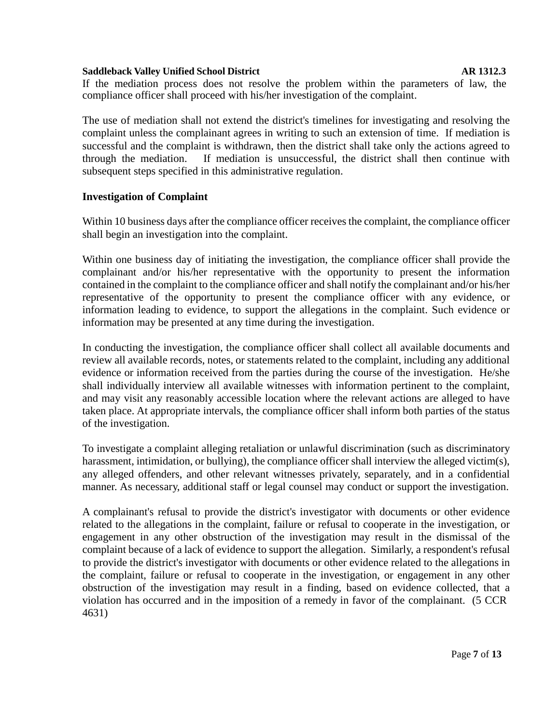If the mediation process does not resolve the problem within the parameters of law, the compliance officer shall proceed with his/her investigation of the complaint.

The use of mediation shall not extend the district's timelines for investigating and resolving the complaint unless the complainant agrees in writing to such an extension of time. If mediation is successful and the complaint is withdrawn, then the district shall take only the actions agreed to through the mediation. If mediation is unsuccessful, the district shall then continue with subsequent steps specified in this administrative regulation.

## **Investigation of Complaint**

Within 10 business days after the compliance officer receives the complaint, the compliance officer shall begin an investigation into the complaint.

Within one business day of initiating the investigation, the compliance officer shall provide the complainant and/or his/her representative with the opportunity to present the information contained in the complaint to the compliance officer and shall notify the complainant and/or his/her representative of the opportunity to present the compliance officer with any evidence, or information leading to evidence, to support the allegations in the complaint. Such evidence or information may be presented at any time during the investigation.

In conducting the investigation, the compliance officer shall collect all available documents and review all available records, notes, or statements related to the complaint, including any additional evidence or information received from the parties during the course of the investigation. He/she shall individually interview all available witnesses with information pertinent to the complaint, and may visit any reasonably accessible location where the relevant actions are alleged to have taken place. At appropriate intervals, the compliance officer shall inform both parties of the status of the investigation.

To investigate a complaint alleging retaliation or unlawful discrimination (such as discriminatory harassment, intimidation, or bullying), the compliance officer shall interview the alleged victim(s), any alleged offenders, and other relevant witnesses privately, separately, and in a confidential manner. As necessary, additional staff or legal counsel may conduct or support the investigation.

A complainant's refusal to provide the district's investigator with documents or other evidence related to the allegations in the complaint, failure or refusal to cooperate in the investigation, or engagement in any other obstruction of the investigation may result in the dismissal of the complaint because of a lack of evidence to support the allegation. Similarly, a respondent's refusal to provide the district's investigator with documents or other evidence related to the allegations in the complaint, failure or refusal to cooperate in the investigation, or engagement in any other obstruction of the investigation may result in a finding, based on evidence collected, that a violation has occurred and in the imposition of a remedy in favor of the complainant. (5 CCR 4631)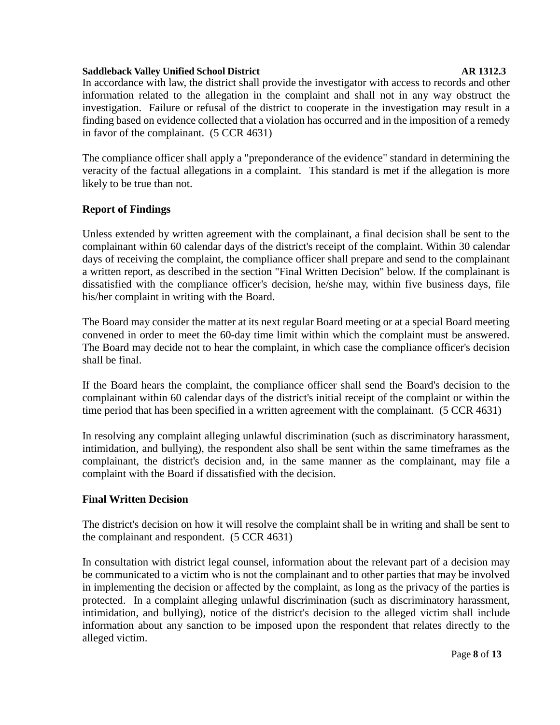In accordance with law, the district shall provide the investigator with access to records and other information related to the allegation in the complaint and shall not in any way obstruct the investigation. Failure or refusal of the district to cooperate in the investigation may result in a finding based on evidence collected that a violation has occurred and in the imposition of a remedy in favor of the complainant. (5 CCR 4631)

The compliance officer shall apply a "preponderance of the evidence" standard in determining the veracity of the factual allegations in a complaint. This standard is met if the allegation is more likely to be true than not.

## **Report of Findings**

Unless extended by written agreement with the complainant, a final decision shall be sent to the complainant within 60 calendar days of the district's receipt of the complaint. Within 30 calendar days of receiving the complaint, the compliance officer shall prepare and send to the complainant a written report, as described in the section "Final Written Decision" below. If the complainant is dissatisfied with the compliance officer's decision, he/she may, within five business days, file his/her complaint in writing with the Board.

The Board may consider the matter at its next regular Board meeting or at a special Board meeting convened in order to meet the 60-day time limit within which the complaint must be answered. The Board may decide not to hear the complaint, in which case the compliance officer's decision shall be final.

If the Board hears the complaint, the compliance officer shall send the Board's decision to the complainant within 60 calendar days of the district's initial receipt of the complaint or within the time period that has been specified in a written agreement with the complainant. (5 CCR 4631)

In resolving any complaint alleging unlawful discrimination (such as discriminatory harassment, intimidation, and bullying), the respondent also shall be sent within the same timeframes as the complainant, the district's decision and, in the same manner as the complainant, may file a complaint with the Board if dissatisfied with the decision.

## **Final Written Decision**

The district's decision on how it will resolve the complaint shall be in writing and shall be sent to the complainant and respondent. (5 CCR 4631)

In consultation with district legal counsel, information about the relevant part of a decision may be communicated to a victim who is not the complainant and to other parties that may be involved in implementing the decision or affected by the complaint, as long as the privacy of the parties is protected. In a complaint alleging unlawful discrimination (such as discriminatory harassment, intimidation, and bullying), notice of the district's decision to the alleged victim shall include information about any sanction to be imposed upon the respondent that relates directly to the alleged victim.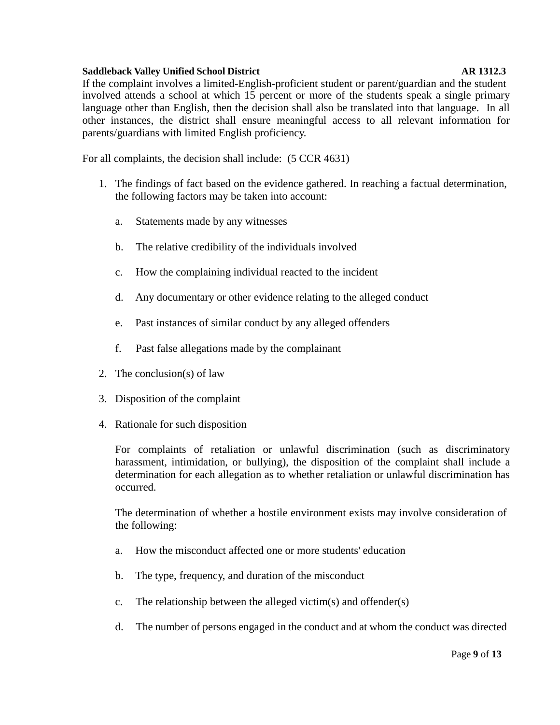If the complaint involves a limited-English-proficient student or parent/guardian and the student involved attends a school at which 15 percent or more of the students speak a single primary language other than English, then the decision shall also be translated into that language. In all other instances, the district shall ensure meaningful access to all relevant information for parents/guardians with limited English proficiency.

For all complaints, the decision shall include: (5 CCR 4631)

- 1. The findings of fact based on the evidence gathered. In reaching a factual determination, the following factors may be taken into account:
	- a. Statements made by any witnesses
	- b. The relative credibility of the individuals involved
	- c. How the complaining individual reacted to the incident
	- d. Any documentary or other evidence relating to the alleged conduct
	- e. Past instances of similar conduct by any alleged offenders
	- f. Past false allegations made by the complainant
- 2. The conclusion(s) of law
- 3. Disposition of the complaint
- 4. Rationale for such disposition

For complaints of retaliation or unlawful discrimination (such as discriminatory harassment, intimidation, or bullying), the disposition of the complaint shall include a determination for each allegation as to whether retaliation or unlawful discrimination has occurred.

The determination of whether a hostile environment exists may involve consideration of the following:

- a. How the misconduct affected one or more students' education
- b. The type, frequency, and duration of the misconduct
- c. The relationship between the alleged victim(s) and offender(s)
- d. The number of persons engaged in the conduct and at whom the conduct was directed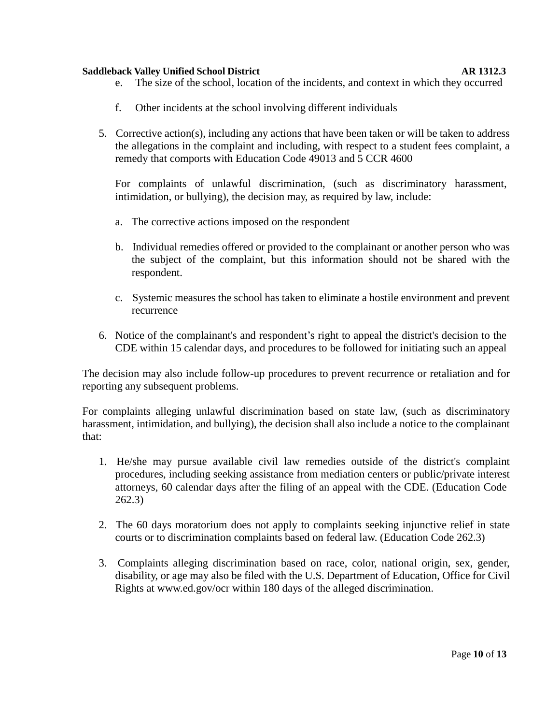- e. The size of the school, location of the incidents, and context in which they occurred
- f. Other incidents at the school involving different individuals
- 5. Corrective action(s), including any actions that have been taken or will be taken to address the allegations in the complaint and including, with respect to a student fees complaint, a remedy that comports with Education Code 49013 and 5 CCR 4600

For complaints of unlawful discrimination, (such as discriminatory harassment, intimidation, or bullying), the decision may, as required by law, include:

- a. The corrective actions imposed on the respondent
- b. Individual remedies offered or provided to the complainant or another person who was the subject of the complaint, but this information should not be shared with the respondent.
- c. Systemic measures the school has taken to eliminate a hostile environment and prevent recurrence
- 6. Notice of the complainant's and respondent's right to appeal the district's decision to the CDE within 15 calendar days, and procedures to be followed for initiating such an appeal

The decision may also include follow-up procedures to prevent recurrence or retaliation and for reporting any subsequent problems.

For complaints alleging unlawful discrimination based on state law, (such as discriminatory harassment, intimidation, and bullying), the decision shall also include a notice to the complainant that:

- 1. He/she may pursue available civil law remedies outside of the district's complaint procedures, including seeking assistance from mediation centers or public/private interest attorneys, 60 calendar days after the filing of an appeal with the CDE. (Education Code 262.3)
- 2. The 60 days moratorium does not apply to complaints seeking injunctive relief in state courts or to discrimination complaints based on federal law. (Education Code 262.3)
- 3. Complaints alleging discrimination based on race, color, national origin, sex, gender, disability, or age may also be filed with the U.S. Department of Education, Office for Civi[l](http://www.ed.gov/ocr) [Rights at www.](http://www.ed.gov/ocr)ed.gov/ocr within 180 days of the alleged discrimination.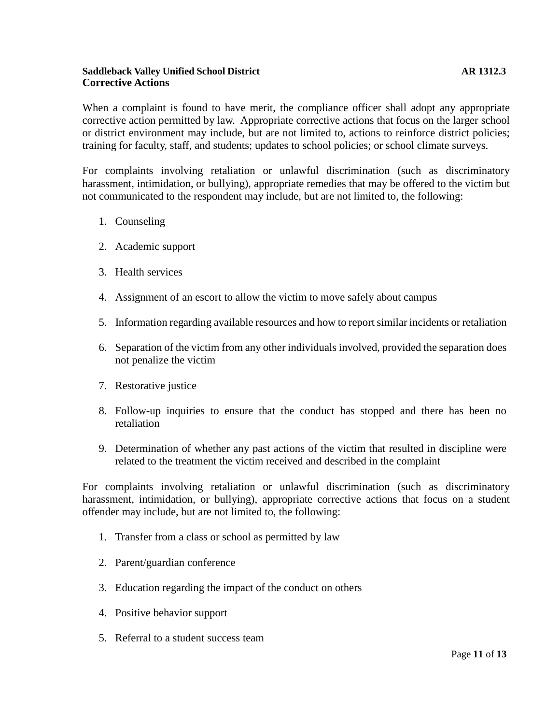## **Saddleback Valley Unified School District AR 1312.3 Corrective Actions**

When a complaint is found to have merit, the compliance officer shall adopt any appropriate corrective action permitted by law. Appropriate corrective actions that focus on the larger school or district environment may include, but are not limited to, actions to reinforce district policies; training for faculty, staff, and students; updates to school policies; or school climate surveys.

For complaints involving retaliation or unlawful discrimination (such as discriminatory harassment, intimidation, or bullying), appropriate remedies that may be offered to the victim but not communicated to the respondent may include, but are not limited to, the following:

- 1. Counseling
- 2. Academic support
- 3. Health services
- 4. Assignment of an escort to allow the victim to move safely about campus
- 5. Information regarding available resources and how to reportsimilar incidents or retaliation
- 6. Separation of the victim from any other individuals involved, provided the separation does not penalize the victim
- 7. Restorative justice
- 8. Follow-up inquiries to ensure that the conduct has stopped and there has been no retaliation
- 9. Determination of whether any past actions of the victim that resulted in discipline were related to the treatment the victim received and described in the complaint

For complaints involving retaliation or unlawful discrimination (such as discriminatory harassment, intimidation, or bullying), appropriate corrective actions that focus on a student offender may include, but are not limited to, the following:

- 1. Transfer from a class or school as permitted by law
- 2. Parent/guardian conference
- 3. Education regarding the impact of the conduct on others
- 4. Positive behavior support
- 5. Referral to a student success team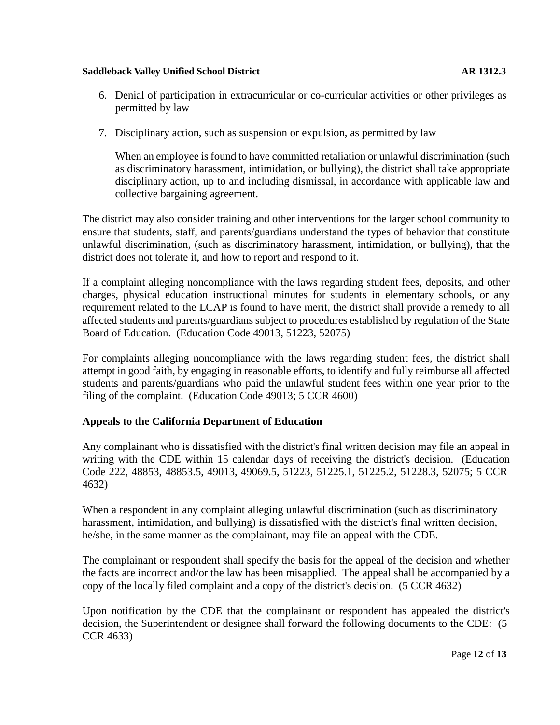- 6. Denial of participation in extracurricular or co-curricular activities or other privileges as permitted by law
- 7. Disciplinary action, such as suspension or expulsion, as permitted by law

When an employee is found to have committed retaliation or unlawful discrimination (such as discriminatory harassment, intimidation, or bullying), the district shall take appropriate disciplinary action, up to and including dismissal, in accordance with applicable law and collective bargaining agreement.

The district may also consider training and other interventions for the larger school community to ensure that students, staff, and parents/guardians understand the types of behavior that constitute unlawful discrimination, (such as discriminatory harassment, intimidation, or bullying), that the district does not tolerate it, and how to report and respond to it.

If a complaint alleging noncompliance with the laws regarding student fees, deposits, and other charges, physical education instructional minutes for students in elementary schools, or any requirement related to the LCAP is found to have merit, the district shall provide a remedy to all affected students and parents/guardians subject to procedures established by regulation of the State Board of Education. (Education Code 49013, 51223, 52075)

For complaints alleging noncompliance with the laws regarding student fees, the district shall attempt in good faith, by engaging in reasonable efforts, to identify and fully reimburse all affected students and parents/guardians who paid the unlawful student fees within one year prior to the filing of the complaint. (Education Code 49013; 5 CCR 4600)

## **Appeals to the California Department of Education**

Any complainant who is dissatisfied with the district's final written decision may file an appeal in writing with the CDE within 15 calendar days of receiving the district's decision. (Education Code 222, 48853, 48853.5, 49013, 49069.5, 51223, 51225.1, 51225.2, 51228.3, 52075; 5 CCR 4632)

When a respondent in any complaint alleging unlawful discrimination (such as discriminatory harassment, intimidation, and bullying) is dissatisfied with the district's final written decision, he/she, in the same manner as the complainant, may file an appeal with the CDE.

The complainant or respondent shall specify the basis for the appeal of the decision and whether the facts are incorrect and/or the law has been misapplied. The appeal shall be accompanied by a copy of the locally filed complaint and a copy of the district's decision. (5 CCR 4632)

Upon notification by the CDE that the complainant or respondent has appealed the district's decision, the Superintendent or designee shall forward the following documents to the CDE: (5 CCR 4633)